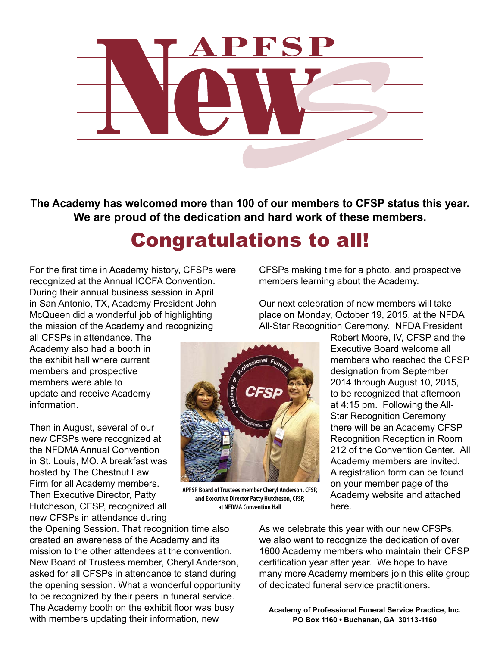

**The Academy has welcomed more than 100 of our members to CFSP status this year. We are proud of the dedication and hard work of these members.**

# Congratulations to all!

For the first time in Academy history, CFSPs were recognized at the Annual ICCFA Convention. During their annual business session in April in San Antonio, TX, Academy President John McQueen did a wonderful job of highlighting the mission of the Academy and recognizing

all CFSPs in attendance. The Academy also had a booth in the exhibit hall where current members and prospective members were able to update and receive Academy information.

Then in August, several of our new CFSPs were recognized at the NFDMA Annual Convention in St. Louis, MO. A breakfast was hosted by The Chestnut Law Firm for all Academy members. Then Executive Director, Patty Hutcheson, CFSP, recognized all new CFSPs in attendance during

the Opening Session. That recognition time also created an awareness of the Academy and its mission to the other attendees at the convention. New Board of Trustees member, Cheryl Anderson, asked for all CFSPs in attendance to stand during the opening session. What a wonderful opportunity to be recognized by their peers in funeral service. The Academy booth on the exhibit floor was busy with members updating their information, new

CFSPs making time for a photo, and prospective members learning about the Academy.

Our next celebration of new members will take place on Monday, October 19, 2015, at the NFDA All-Star Recognition Ceremony. NFDA President

> Robert Moore, IV, CFSP and the Executive Board welcome all members who reached the CFSP designation from September 2014 through August 10, 2015, to be recognized that afternoon at 4:15 pm. Following the All-Star Recognition Ceremony there will be an Academy CFSP Recognition Reception in Room 212 of the Convention Center. All Academy members are invited. A registration form can be found on your member page of the Academy website and attached here.

**APFSP Board of Trustees member Cheryl Anderson, CFSP, and Executive Director Patty Hutcheson, CFSP, at NFDMA Convention Hall**

> As we celebrate this year with our new CFSPs, we also want to recognize the dedication of over 1600 Academy members who maintain their CFSP certification year after year. We hope to have many more Academy members join this elite group of dedicated funeral service practitioners.

**Academy of Professional Funeral Service Practice, Inc. PO Box 1160 • Buchanan, GA 30113-1160**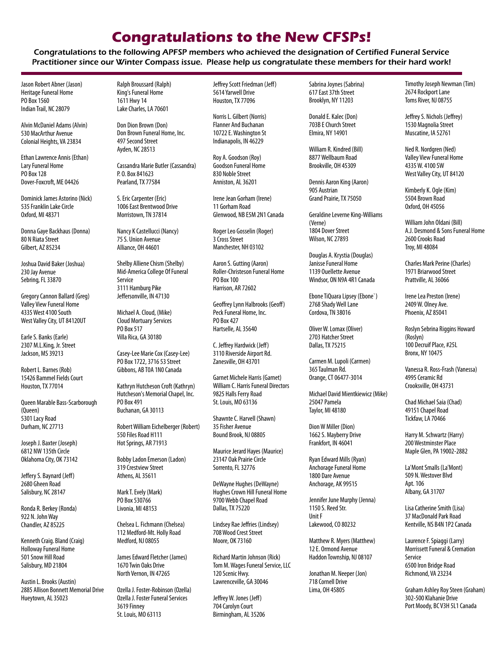## **Congratulations to the New CFSPs!**

Congratulations to the following APFSP members who achieved the designation of Certified Funeral Service Practitioner since our Winter Compass issue. Please help us congratulate these members for their hard work!

Jason Robert Abner (Jason) Heritage Funeral Home PO Box 1560 Indian Trail, NC 28079

Alvin McDaniel Adams (Alvin) 530 MacArthur Avenue Colonial Heights, VA 23834

Ethan Lawrence Annis (Ethan) Lary Funeral Home PO Box 128 Dover-Foxcroft, ME 04426

Dominick James Astorino (Nick) 535 Franklin Lake Circle Oxford, MI 48371

Donna Gaye Backhaus (Donna) 80 N Riata Street Gilbert, AZ 85234

Joshua David Baker (Joshua) 230 Jay Avenue Sebring, FL 33870

Gregory Cannon Ballard (Greg) Valley View Funeral Home 4335 West 4100 South West Valley City, UT 84120UT

Earle S. Banks (Earle) 2307 M.L.King, Jr. Street Jackson, MS 39213

Robert L. Barnes (Rob) 15426 Bammel Fields Court Houston, TX 77014

Queen Marable Bass-Scarborough (Queen) 5301 Lacy Road Durham, NC 27713

Joseph J. Baxter (Joseph) 6812 NW 135th Circle Oklahoma City, OK 73142

Jeffery S. Baynard (Jeff) 2680 Gheen Road Salisbury, NC 28147

Ronda R. Berkey (Ronda) 922 N. John Way Chandler, AZ 85225

Kenneth Craig. Bland (Craig) Holloway Funeral Home 501 Snow Hill Road Salisbury, MD 21804

Austin L. Brooks (Austin) 2885 Allison Bonnett Memorial Drive Hueytown, AL 35023

Ralph Broussard (Ralph) King's Funeral Home 1611 Hwy 14 Lake Charles, LA 70601

Don Dion Brown (Don) Don Brown Funeral Home, Inc. 497 Second Street Ayden, NC 28513

Cassandra Marie Butler (Cassandra) P. O. Box 841623 Pearland, TX 77584

S. Eric Carpenter (Eric) 1006 East Brentwood Drive Morristown, TN 37814

Nancy K Castellucci (Nancy) 75 S. Union Avenue Alliance, OH 44601

Shelby Alliene Chism (Shelby) Mid-America College Of Funeral Service 3111 Hamburg Pike Jeffersonville, IN 47130

Michael A. Cloud, (Mike) Cloud Mortuary Services PO Box 517 Villa Rica, GA 30180

Casey-Lee Marie Cox (Casey-Lee) PO Box 1722, 3716 53 Street Gibbons, AB T0A 1N0 Canada

Kathryn Hutcheson Croft (Kathryn) Hutcheson's Memorial Chapel, Inc. PO Box 491 Buchanan, GA 30113

Robert William Eichelberger (Robert) 550 Files Road H111 Hot Springs, AR 71913

Bobby Ladon Emerson (Ladon) 319 Crestview Street Athens, AL 35611

Mark T. Evely (Mark) PO Box 530766 Livonia, MI 48153

Chelsea L. Fichmann (Chelsea) 112 Medford-Mt. Holly Road Medford, NJ 08055

James Edward Fletcher (James) 1670 Twin Oaks Drive North Vernon, IN 47265

Ozella J. Foster-Robinson (Ozella) Ozella J. Foster Funeral Services 3619 Finney St. Louis, MO 63113

Jeffrey Scott Friedman (Jeff) 5614 Yarwell Drive Houston, TX 77096

Norris L. Gilbert (Norris) Flanner And Buchanan 10722 E. Washington St Indianapolis, IN 46229

Roy A. Goodson (Roy) Goodson Funeral Home 830 Noble Street Anniston, AL 36201

Irene Jean Gorham (Irene) 11 Gorham Road Glenwood, NB E5M 2N1 Canada

Roger Leo Gosselin (Roger) 3 Cross Street Manchester, NH 03102

Aaron S. Gutting (Aaron) Roller-Christeson Funeral Home PO Box 100 Harrison, AR 72602

Geoffrey Lynn Halbrooks (Geoff) Peck Funeral Home, Inc. PO Box 427 Hartselle, AL 35640

C. Jeffrey Hardwick (Jeff) 3110 Riverside Airport Rd. Zanesville, OH 43701

Garnet Michele Harris (Garnet) William C. Harris Funeral Directors 9825 Halls Ferry Road St. Louis, MO 63136

Shawnte C. Harvell (Shawn) 35 Fisher Avenue Bound Brook, NJ 08805

Maurice Jerard Hayes (Maurice) 23147 Oak Prairie Circle Sorrento, FL 32776

DeWayne Hughes (DeWayne) Hughes Crown Hill Funeral Home 9700 Webb Chapel Road Dallas, TX 75220

Lindsey Rae Jeffries (Lindsey) 708 Wood Crest Street Moore, OK 73160

Richard Martin Johnson (Rick) Tom M. Wages Funeral Service, LLC 120 Scenic Hwy. Lawrenceville, GA 30046

Jeffrey W. Jones (Jeff) 704 Carolyn Court Birmingham, AL 35206 Sabrina Joynes (Sabrina) 617 East 37th Street Brooklyn, NY 11203

Donald E. Kalec (Don) 703B E Church Street Elmira, NY 14901

William R. Kindred (Bill) 8877 Wellbaum Road Brookville, OH 45309

Dennis Aaron King (Aaron) 905 Austrian Grand Prairie, TX 75050

Geraldine Leverne King-Williams (Verne) 1804 Dover Street Wilson, NC 27893

Douglas A. Krystia (Douglas) Janisse Funeral Home 1139 Ouellette Avenue Windsor, ON N9A 4R1 Canada

Ebone TiQuara Lipsey (Ebone`) 2768 Shady Well Lane Cordova, TN 38016

Oliver W. Lomax (Oliver) 2703 Hatcher Street Dallas, TX 75215

Carmen M. Lupoli (Carmen) 365 Taulman Rd. Orange, CT 06477-3014

Michael David Mientkiewicz (Mike) 25047 Pamela Taylor, MI 48180

Dion W Miller (Dion) 1662 S. Mayberry Drive Frankfort, IN 46041

Ryan Edward Mills (Ryan) Anchorage Funeral Home 1800 Dare Avenue Anchorage, AK 99515

Jennifer June Murphy (Jenna) 1150 S. Reed Str. Unit F Lakewood, CO 80232

Matthew R. Myers (Matthew) 12 E. Ormond Avenue Haddon Township, NJ 08107

Jonathan M. Neeper (Jon) 718 Cornell Drive Lima, OH 45805

Timothy Joseph Newman (Tim) 2674 Rockport Lane Toms River, NJ 08755

Jeffrey S. Nichols (Jeffrey) 1530 Magnolia Street Muscatine, IA 52761

Ned R. Nordaren (Ned) Valley View Funeral Home 4335 W. 4100 SW West Valley City, UT 84120

Kimberly K. Ogle (Kim) 5504 Brown Road Oxford, OH 45056

William John Oldani (Bill) A.J. Desmond & Sons Funeral Home 2600 Crooks Road Troy, MI 48084

Charles Mark Perine (Charles) 1971 Briarwood Street Prattville, AL 36066

Irene Lea Preston (Irene) 2409 W. Olney Ave. Phoenix, AZ 85041

Roslyn Sebrina Riggins Howard (Roslyn) 100 Decruif Place, #25L Bronx, NY 10475

Vanessa R. Ross-Frash (Vanessa) 4995 Ceramic Rd Crooksville, OH 43731

Chad Michael Saia (Chad) 49151 Chapel Road Tickfaw, LA 70466

Harry M. Schwartz (Harry) 200 Westminster Place Maple Glen, PA 19002-2882

La'Mont Smalls (La'Mont) 509 N. Westover Blvd Apt. 106 Albany, GA 31707

Lisa Catherine Smith (Lisa) 37 MacDonald Park Road Kentville, NS B4N 1P2 Canada

Laurence F. Spiaggi (Larry) Morrissett Funeral & Cremation Service 6500 Iron Bridge Road Richmond, VA 23234

Graham Ashley Roy Steen (Graham) 302-500 Klahanie Drive Port Moody, BC V3H 5L1 Canada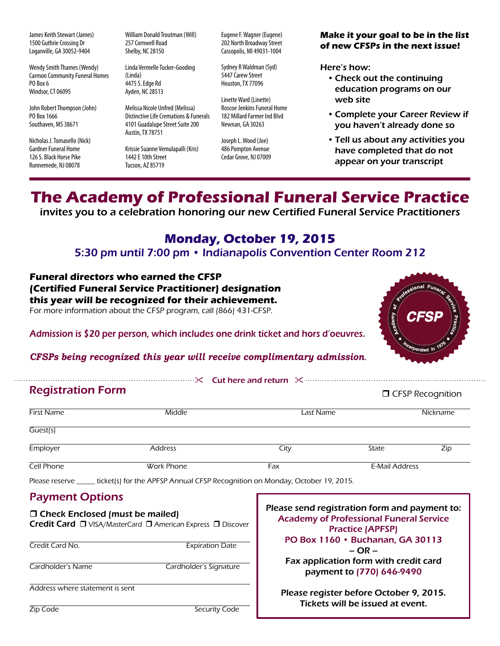James Keith Stewart (James) 1500 Guthrie Crossing Dr Loganville, GA 30052-9404

Wendy Smith Thames (Wendy) Carmon Community Funeral Homes PO Box 6 Windsor, CT 06095

John Robert Thompson (John) PO Box 1666 Southaven, MS 38671

Nicholas J. Tomasello (Nick) Gardner Funeral Home 126 S. Black Horse Pike Runnemede, NJ 08078

William Donald Troutman (Will) 257 Cornwell Road Shelby, NC 28150

Linda Vermelle Tucker-Gooding (Linda) 4475 S. Edge Rd Ayden, NC 28513

Melissa Nicole Unfred (Melissa) Distinctive Life Cremations & Funerals 4101 Guadalupe Street Suite 200 Austin, TX 78751

Krissie Suanne Vemulapalli (Kris) 1442 E 10th Street Tucson, AZ 85719

Eugene F. Wagner (Eugene) 202 North Broadway Street Cassopolis, MI 49031-1004

Sydney R Waldman (Syd) 5447 Carew Street Houston, TX 77096

Linette Ward (Linette) Roscoe Jenkins Funeral Home 182 Millard Farmer Ind Blvd Newnan, GA 30263

Joseph L. Wood (Joe) 486 Pompton Avenue Cedar Grove, NJ 07009

### **Make it your goal to be in the list of new CFSPs in the next issue!**

Here's how:

- •Check out the continuing education programs on our web site
- •Complete your Career Review if you haven't already done so
- •Tell us about any activities you have completed that do not appear on your transcript

## **The Academy of Professional Funeral Service Practice**

invites you to a celebration honoring our new Certified Funeral Service Practitioners

## **Monday, October 19, 2015**

5:30 pm until 7:00 pm • Indianapolis Convention Center Room 212

**Funeral directors who earned the CFSP (Certified Funeral Service Practitioner) designation**

**this year will be recognized for their achievement.** 

For more information about the CFSP program, call (866) 431-CFSP.



Admission is \$20 per person, which includes one drink ticket and hors d'oeuvres.

*CFSPs being recognized this year will receive complimentary admission*.

" Cut here and return  $\mathbb{X}$  Cut here and return  $\mathbb{X}$  curves and return  $\mathbb{X}$  curves and return  $\mathbb{X}$  curves and return  $\mathbb{X}$  curves and return  $\mathbb{X}$  curves and return  $\mathbb{X}$  curves and return  $\mathbb{X}$  **D** CFSP Recognition First Name Middle Last Name Nickname Guest(s) Employer Address City State Zip Cell Phone Work Phone Fax E-Mail Address Registration Form

Please reserve \_\_\_\_\_ ticket(s) for the APFSP Annual CFSP Recognition on Monday, October 19, 2015.

### Payment Options

| $\Box$ Check Enclosed (must be mailed)<br>Credit Card □ VISA/MasterCard □ American Express □ Discover |                        |
|-------------------------------------------------------------------------------------------------------|------------------------|
| Credit Card No.                                                                                       | <b>Expiration Date</b> |
| Cardholder's Name                                                                                     | Cardholder's Signature |
| Address where statement is sent                                                                       |                        |

Please send registration form and payment to: Academy of Professional Funeral Service Practice (APFSP) PO Box 1160 • Buchanan, GA 30113 – OR – Fax application form with credit card payment to (770) 646-9490 Please register before October 9, 2015. Tickets will be issued at event.